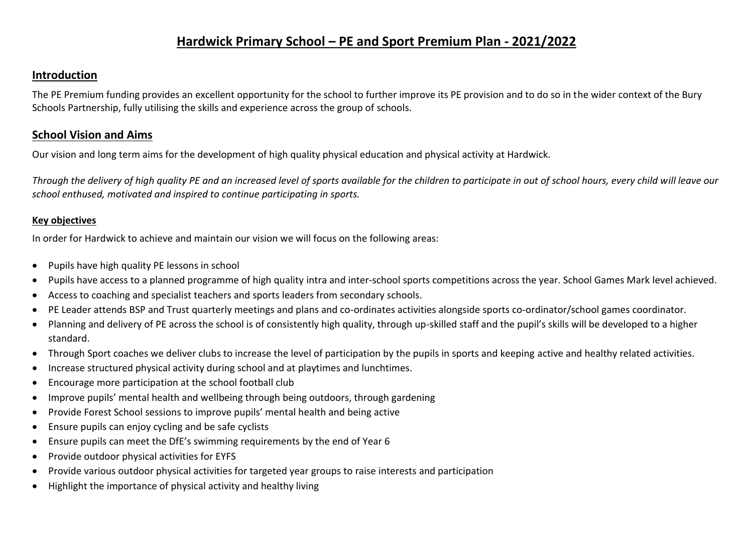## **Hardwick Primary School – PE and Sport Premium Plan - 2021/2022**

#### **Introduction**

The PE Premium funding provides an excellent opportunity for the school to further improve its PE provision and to do so in the wider context of the Bury Schools Partnership, fully utilising the skills and experience across the group of schools.

### **School Vision and Aims**

Our vision and long term aims for the development of high quality physical education and physical activity at Hardwick.

*Through the delivery of high quality PE and an increased level of sports available for the children to participate in out of school hours, every child will leave our school enthused, motivated and inspired to continue participating in sports.*

#### **Key objectives**

In order for Hardwick to achieve and maintain our vision we will focus on the following areas:

- Pupils have high quality PE lessons in school
- Pupils have access to a planned programme of high quality intra and inter-school sports competitions across the year. School Games Mark level achieved.
- Access to coaching and specialist teachers and sports leaders from secondary schools.
- PE Leader attends BSP and Trust quarterly meetings and plans and co-ordinates activities alongside sports co-ordinator/school games coordinator.
- Planning and delivery of PE across the school is of consistently high quality, through up-skilled staff and the pupil's skills will be developed to a higher standard.
- Through Sport coaches we deliver clubs to increase the level of participation by the pupils in sports and keeping active and healthy related activities.
- Increase structured physical activity during school and at playtimes and lunchtimes.
- Encourage more participation at the school football club
- Improve pupils' mental health and wellbeing through being outdoors, through gardening
- Provide Forest School sessions to improve pupils' mental health and being active
- Ensure pupils can enjoy cycling and be safe cyclists
- Ensure pupils can meet the DfE's swimming requirements by the end of Year 6
- Provide outdoor physical activities for EYFS
- Provide various outdoor physical activities for targeted year groups to raise interests and participation
- Highlight the importance of physical activity and healthy living